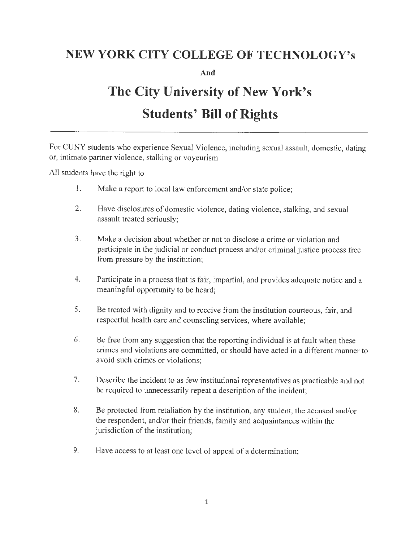## **NEW YORK CITY COLLEGE OF TECHNOLOGY's**

**And** 

## **The City University of New York's Students' Bill of Rights**

For CUNY students who experience Sexual Violence , including sexual assault, domestic , dating or, intimate partner violence, stalking or voyeurism

All students have the right to

- 1. Make a report to local law enforcement and/or state police;
- 2. Have disclosures of domestic violence, dating violence, stalking, and sexual assault treated seriously;
- 3. Make a decision about whether or not to disclose a crime or violation and participate in the judicial or conduct process and/or criminal justice process free from pressure by the institution;
- 4. Participate in a process that is fair, impartial, and provides adequate notice and a meaningful opportunity to be heard;
- 5. Be treated with dignity and to receive from the institution courteous, fair, and respectful health care and counseling services, where available;
- 6. Be free from any suggestion that the reporting individual is at fault when these crimes and violations are committed, or should have acted in a different manner to avoid such crimes or violations;
- 7. Describe the incident to as few institutional representatives as practicable and not be required to unnecessarily repeat a description of the incident;
- 8. Be protected from retaliation by the institution, any student, the accused and/or the respondent, and/or their friends, family and acquaintances within the jurisdiction of the institution;
- 9. Have access to at least one level of appeal of a determination;